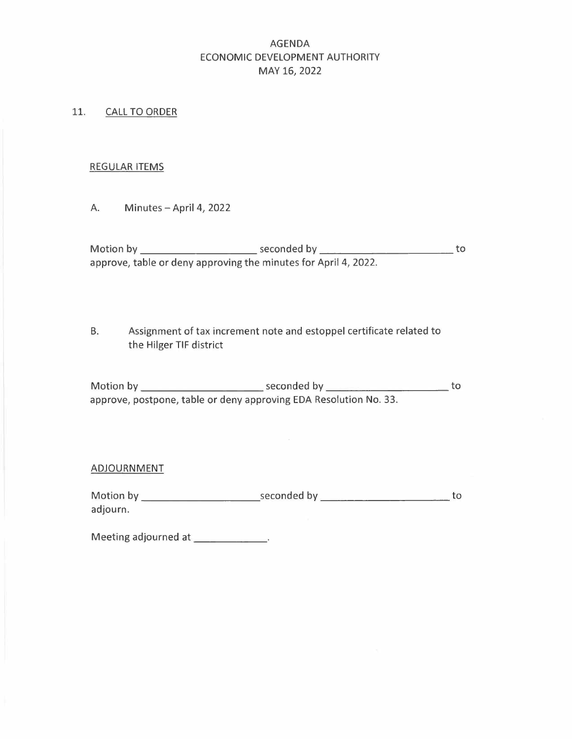# AGENDA ECONOMIC DEVELOPMENT AUTHORITY MAY 16, 2022

#### 11. CALL TO ORDER

#### REGULAR ITEMS

A. Minutes - April 4, 2022

Motion by \_Seconded V \_O approve, table or deny approving the minutes for April 4, 2022.

B. Assignment of tax increment note and estoppel certificate related to the Hilger TIF district

Motion by <u>seconded by seconded by</u><br>
approve, table or deny approving the minutes for April 4, 2022.<br>
B. Assignment of tax increment note and estoppel certificate related to<br>
the Hilger TIF district<br>
Motion by <u>seconded by</u> approve, postpone, table or deny approving EDA Resolution No. 33. Motion by Seconded V \_O

#### ADJOURNMENT

adjourn.

Meeting adjourned at \_\_\_\_\_\_\_\_\_\_\_\_\_\_.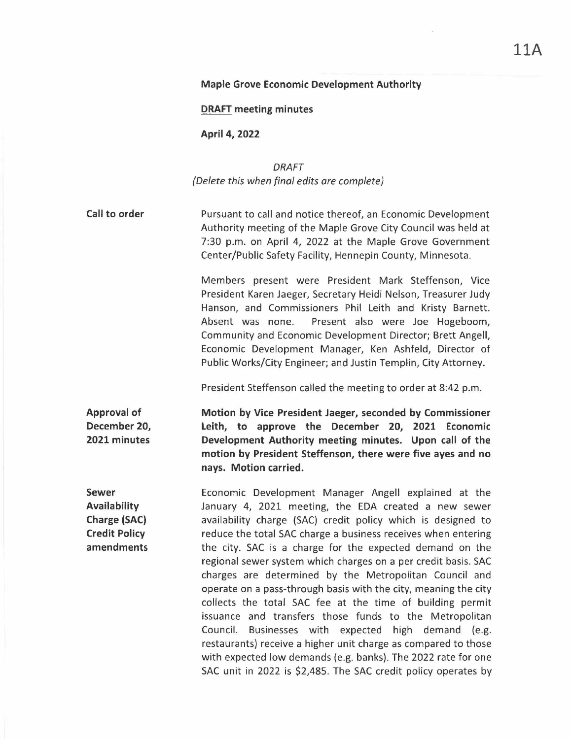#### **Maple Grove Economic Development Authority**

**DRAFT meeting minutes** 

**April 4, 2022** 

*DRAFT (Delete this when final edits are complete)* 

**Call to order**  Pursuant to call and notice thereof, an Economic Development Authority meeting of the Maple Grove City Council was held at 7:30 p.m. on April 4, 2022 at the Maple Grove Government Center/Public Safety Facility, Hennepin County, Minnesota.

> Members present were President Mark Steffenson, Vice President Karen Jaeger, Secretary Heidi Nelson, Treasurer Judy Hanson, and Commissioners Phil Leith and Kristy Barnett. Absent was none. Present also were Joe Hogeboom, Community and Economic Development Director; Brett Angell, Economic Development Manager, Ken Ashfeld, Director of Public Works/City Engineer; and Justin Templin, City Attorney.

President Steffenson called the meeting to order at 8:42 p.m.

**Approval of December 20, 2021 minutes** 

**Sewer** 

**Availability Charge (SAC) Credit Policy amendments**  **Motion by Vice President Jaeger, seconded by Commissioner Leith, to approve the December 20, 2021 Economic Development Authority meeting minutes. Upon call of the motion by President Steffenson, there were five ayes and no nays. Motion carried.** 

Economic Development Manager Angell explained at the January 4, 2021 meeting, the EDA created a new sewer availability charge (SAC) credit policy which is designed to reduce the total SAC charge a business receives when entering the city. SAC is a charge for the expected demand on the regional sewer system which charges on a per credit basis. SAC charges are determined by the Metropolitan Council and operate on a pass-through basis with the city, meaning the city collects the total SAC fee at the time of building permit issuance and transfers those funds to the Metropolitan Council. Businesses with expected high demand (e.g. restaurants) receive a higher unit charge as compared to those with expected low demands (e.g. banks). The 2022 rate for one SAC unit in 2022 is \$2,485. The SAC credit policy operates by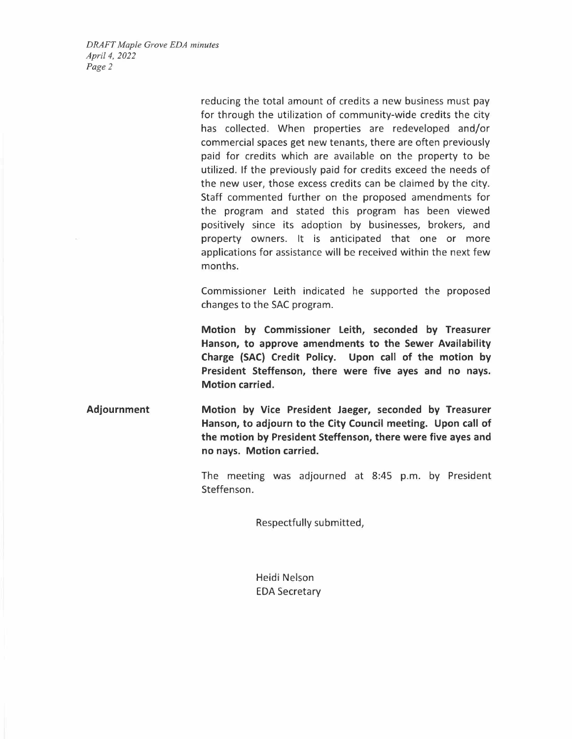*DRAFT Maple Grove EDA minutes April 4, 2022 Page2* 

> reducing the total amount of credits a new business must pay for through the utilization of community-wide credits the city has collected. When properties are redeveloped and/or commercial spaces get new tenants, there are often previously paid for credits which are available on the property to be utilized. If the previously paid for credits exceed the needs of the new user, those excess credits can be claimed by the city. Staff commented further on the proposed amendments for the program and stated this program has been viewed positively since its adoption by businesses, brokers, and property owners. It is anticipated that one or more applications for assistance will be received within the next few months.

> Commissioner Leith indicated he supported the proposed changes to the SAC program.

> **Motion by Commissioner Leith, seconded by Treasurer Hanson, to approve amendments to the Sewer Availability Charge (SAC) Credit Policy. Upon call of the motion by President Steffenson, there were five ayes and no nays. Motion carried.**

**Adjournment Motion by Vice President Jaeger, seconded by Treasurer Hanson, to adjourn to the City Council meeting. Upon call of the motion by President Steffenson, there were five ayes and no nays. Motion carried.** 

> The meeting was adjourned at 8:45 p.m. by President Steffenson.

> > Respectfully submitted,

Heidi Nelson EDA Secretary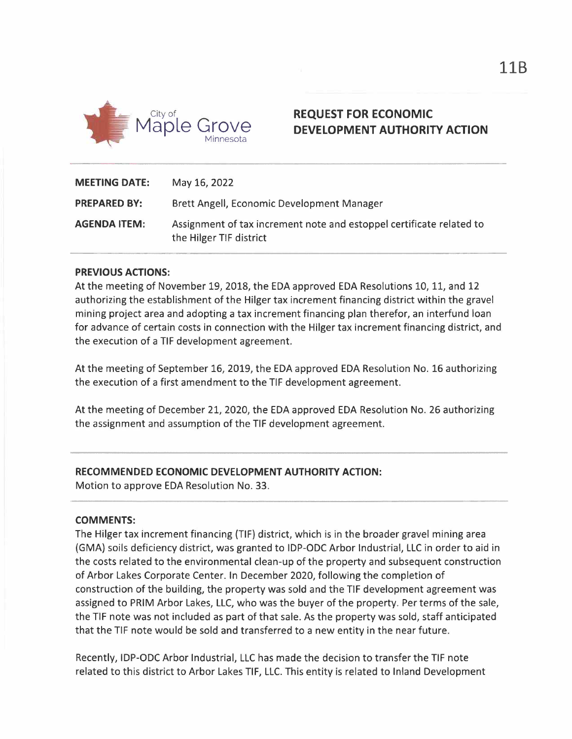

# **REQUEST FOR ECONOMIC DEVELOPMENT AUTHORITY ACTION**

| <b>MEETING DATE:</b> | May 16, 2022                                                                                    |
|----------------------|-------------------------------------------------------------------------------------------------|
| <b>PREPARED BY:</b>  | Brett Angell, Economic Development Manager                                                      |
| <b>AGENDA ITEM:</b>  | Assignment of tax increment note and estoppel certificate related to<br>the Hilger TIF district |

## **PREVIOUS ACTIONS:**

At the meeting of November 19, 2018, the EDA approved EDA Resolutions 10, 11, and 12 authorizing the establishment of the Hilger tax increment financing district within the gravel mining project area and adopting a tax increment financing plan therefor, an interfund loan for advance of certain costs in connection with the Hilger tax increment financing district, and the execution of a TIF development agreement.

At the meeting of September 16, 2019, the EDA approved EDA Resolution No. 16 authorizing the execution of a first amendment to the TIF development agreement.

At the meeting of December 21, 2020, the EDA approved EDA Resolution No. 26 authorizing the assignment and assumption of the TIF development agreement.

## **RECOMMENDED ECONOMIC DEVELOPMENT AUTHORITY ACTION:**

Motion to approve EDA Resolution No. 33.

#### **COMMENTS:**

The Hilger tax increment financing (TIF) district, which is in the broader gravel mining area (GMA) soils deficiency district, was granted to IDP-ODC Arbor Industrial, LLC in order to aid in the costs related to the environmental clean-up of the property and subsequent construction of Arbor Lakes Corporate Center. In December 2020, following the completion of construction of the building, the property was sold and the TIF development agreement was assigned to PRIM Arbor Lakes, LLC, who was the buyer of the property. Per terms of the sale, the TIF note was not included as part of that sale. As the property was sold, staff anticipated that the TIF note would be sold and transferred to a new entity in the near future.

Recently, IDP-ODC Arbor Industrial, LLC has made the decision to transfer the TIF note related to this district to Arbor Lakes TIF, LLC. This entity is related to Inland Development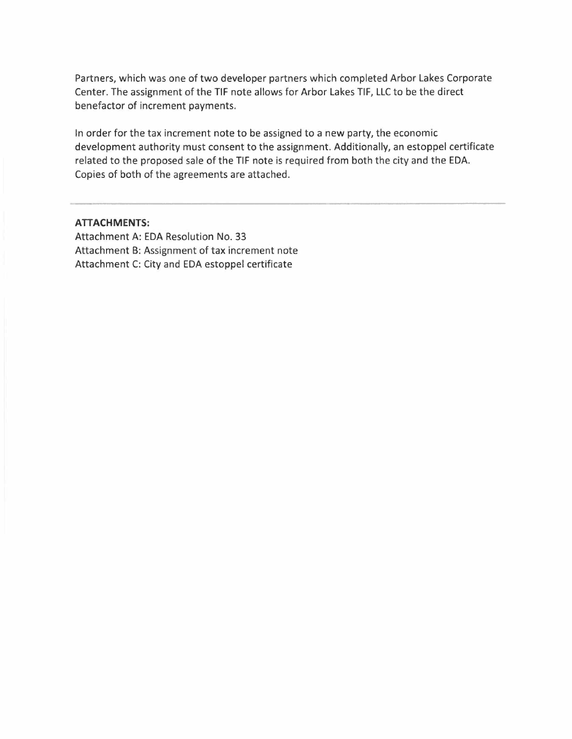Partners, which was one of two developer partners which completed Arbor Lakes Corporate Center. The assignment of the TIF note allows for Arbor Lakes TIF, LLC to be the direct benefactor of increment payments.

In order for the tax increment note to be assigned to a new party, the economic development authority must consent to the assignment. Additionally, an estoppel certificate related to the proposed sale of the TIF note is required from both the city and the EDA. Copies of both of the agreements are attached.

#### **ATTACHMENTS:**

Attachment A: EDA Resolution No. 33 Attachment B: Assignment of tax increment note Attachment C: City and EDA estoppel certificate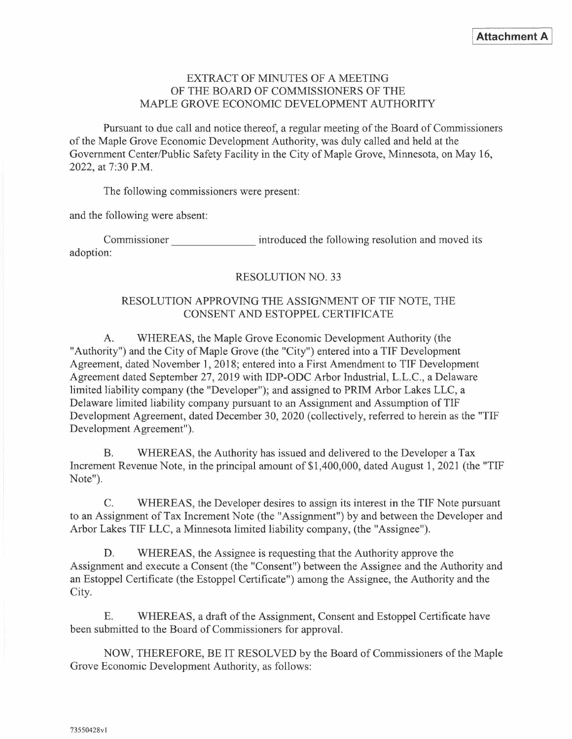## EXTRACT OF MINUTES OF A MEETING OF THE BOARD OF COMMISSIONERS OF THE MAPLE GROVE ECONOMIC DEVELOPMENT AUTHORITY

Pursuant to due call and notice thereof, a regular meeting of the Board of Commissioners of the Maple Grove Economic Development Authority, was duly called and held at the Government Center/Public Safety Facility in the City of Maple Grove, Minnesota, on May 16, 2022, at 7:30 P.M. EXTRACT OF MINUTES OF A MEETING<br>
OF THE BOARD OF COMMISSIONERS OF THE<br>
MAPLE GROVE ECONOMIC DEVELOPMENT AUTHORITY<br>
Pursuant to due call and notice thereof, a regular meeting of the Board of Commission<br>
apple Grove Economic

The following commissioners were present:

and the following were absent:

adoption:

## RESOLUTION NO. 33

## RESOLUTION APPROVING THE ASSIGNMENT OF TIF NOTE, THE CONSENT AND ESTOPPEL CERTIFICATE

A. WHEREAS, the Maple Grove Economic Development Authority (the "Authority") and the City of Maple Grove (the "City") entered into a TIF Development Agreement, dated November I, 2018; entered into a First Amendment to TIF Development Agreement dated September 27, 2019 with IDP-ODC Arbor Industrial, L.L.C., a Delaware limited liability company (the "Developer"); and assigned to PRIM Arbor Lakes LLC, a Delaware limited liability company pursuant to an Assignment and Assumption of TIF Development Agreement, dated December 30, 2020 (collectively, referred to herein as the "TIF Development Agreement").

B. WHEREAS, the Authority has issued and delivered to the Developer a Tax Increment Revenue Note, in the principal amount of \$1,400,000, dated August 1, 2021 (the "TIF Note").

C. WHEREAS, the Developer desires to assign its interest in the TIF Note pursuant to an Assignment of Tax Increment Note (the "Assignment") by and between the Developer and Arbor Lakes TIF LLC, a Minnesota limited liability company, (the "Assignee").

D. WHEREAS, the Assignee is requesting that the Authority approve the Assignment and execute a Consent (the "Consent") between the Assignee and the Authority and an Estoppel Certificate (the Estoppel Certificate") among the Assignee, the Authority and the City.

E. WHEREAS, a draft of the Assignment, Consent and Estoppel Certificate have been submitted to the Board of Commissioners for approval.

NOW, THEREFORE, BE IT RESOLVED by the Board of Commissioners of the Maple Grove Economic Development Authority, as follows: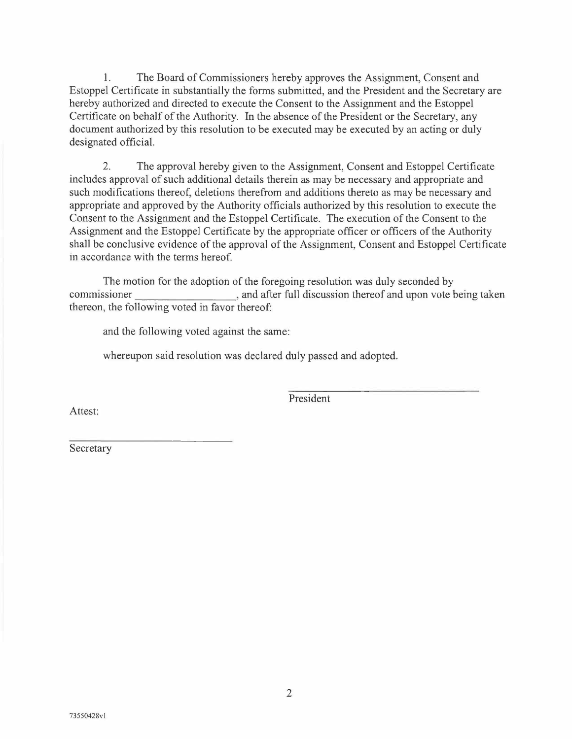1. The Board of Commissioners hereby approves the Assignment, Consent and Estoppel Certificate in substantially the forms submitted, and the President and the Secretary are hereby authorized and directed to execute the Consent to the Assignment and the Estoppel Certificate on behalf of the Authority. In the absence of the President or the Secretary, any document authorized by this resolution to be executed may be executed by an acting or duly designated official.

2. The approval hereby given to the Assignment, Consent and Estoppel Certificate includes approval of such additional details therein as may be necessary and appropriate and such modifications thereof, deletions therefrom and additions thereto as may be necessary and appropriate and approved by the Authority officials authorized by this resolution to execute the Consent to the Assignment and the Estoppel Certificate. The execution of the Consent to the Assignment and the Estoppel Certificate by the appropriate officer or officers of the Authority shall be conclusive evidence of the approval of the Assignment, Consent and Estoppel Certificate in accordance with the terms hereof. 2. The approval hereby given to the Assignment, Consent and Estoppel Certificate<br>includes approval of such additional details therein as may be necessary and appropriate and<br>such modifications thereof, deletions thereform

The motion for the adoption of the foregoing resolution was duly seconded by thereon, the following voted in favor thereof:

and the following voted against the same:

whereupon said resolution was declared duly passed and adopted.

President

Attest:

Secretary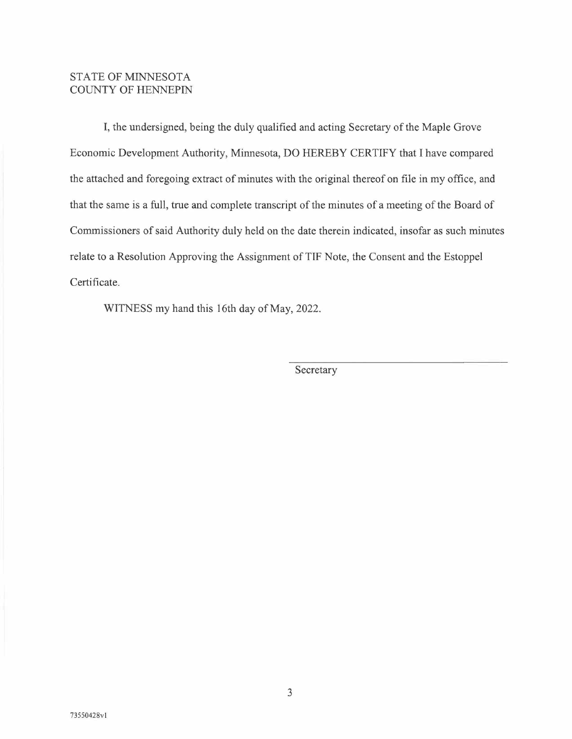## STATE OF MINNESOTA COUNTY OF HENNEPIN

I, the undersigned, being the duly qualified and acting Secretary of the Maple Grove Economic Development Authority, Minnesota, DO HEREBY CERTIFY that I have compared the attached and foregoing extract of minutes with the original thereof on file in my office, and that the same is a full, true and complete transcript of the minutes of a meeting of the Board of Commissioners of said Authority duly held on the date therein indicated, insofar as such minutes relate to a Resolution Approving the Assignment of TIF Note, the Consent and the Estoppel Certificate.

WITNESS my hand this 16th day of May, 2022.

Secretary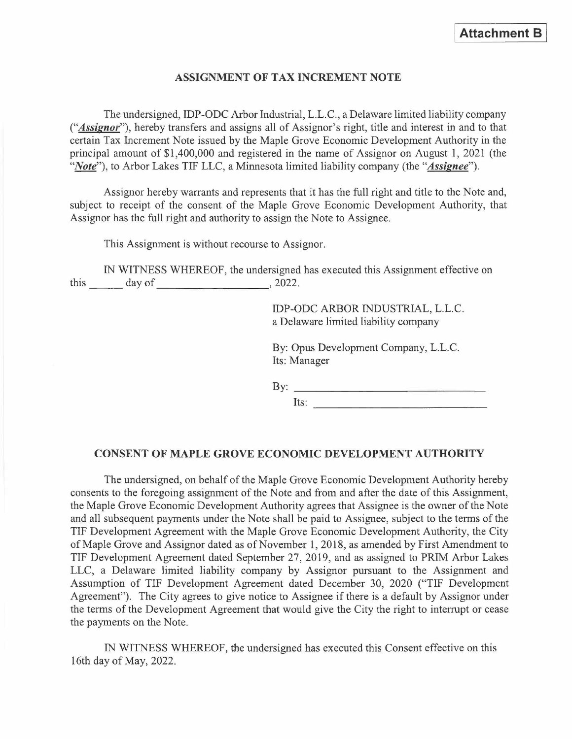## **ASSIGNMENT OF TAX INCREMENT NOTE**

The undersigned, IDP-ODC Arbor Industrial, L.L.C., a Delaware limited liability company *("Assignor"),* hereby transfers and assigns all of Assignor's right, title and interest in and to that certain Tax Increment Note issued by the Maple Grove Economic Development Authority in the principal amount of \$1,400,000 and registered in the name of Assignor on August 1, 2021 (the *"Note"),* to Arbor Lakes TIF LLC, a Minnesota limited liability company (the *"Assignee").* 

Assignor hereby warrants and represents that it has the full right and title to the Note and, subject to receipt of the consent of the Maple Grove Economic Development Authority, that Assignor has the full right and authority to assign the Note to Assignee.

This Assignment is without recourse to Assignor.

IN WITNESS WHEREOF, the undersigned has executed this Assignment effective on  $this$  day of  $\qquad \qquad$  , 2022.

> IDP-ODC ARBOR INDUSTRIAL, L.L.C. a Delaware limited liability company

By: Opus Development Company, L.L.C. Its: Manager

By: ---------------

Its:  $\frac{1}{2}$ 

#### **CONSENT OF MAPLE GROVE ECONOMIC DEVELOPMENT AUTHORITY**

The undersigned, on behalf of the Maple Grove Economic Development Authority hereby consents to the foregoing assignment of the Note and from and after the date of this Assignment, the Maple Grove Economic Development Authority agrees that Assignee is the owner of the Note and all subsequent payments under the Note shall be paid to Assignee, subject to the terms of the **TIF** Development Agreement with the Maple Grove Economic Development Authority, the City of Maple Grove and Assignor dated as of November **1,** 2018, as amended by First Amendment to **TIF** Development Agreement dated September 27, 2019, and as assigned to PRIM Arbor Lakes LLC, a Delaware limited liability company by Assignor pursuant to the Assignment and Assumption of TIF Development Agreement dated December 30, 2020 ("TIF Development Agreement"). The City agrees to give notice to Assignee if there is a default by Assignor under the terms of the Development Agreement that would give the City the right to interrupt or cease the payments on the Note.

IN WITNESS WHEREOF, the undersigned has executed this Consent effective on this 16th day of May, 2022.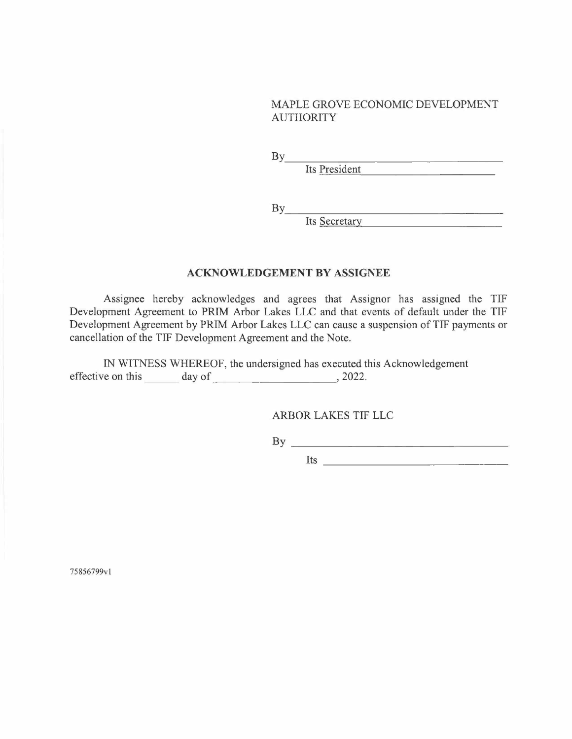## MAPLE GROVE ECONOMIC DEVELOPMENT AUTHORITY

 $\mathbf{By}$ 

Its President

 $\mathbf{B} \mathbf{y}$ 

Its Secretary

# **ACKNOWLEDGEMENT BY ASSIGNEE**

Assignee hereby acknowledges and agrees that Assignor has assigned the TIF Development Agreement to PRIM Arbor Lakes LLC and that events of default under the TIF Development Agreement by PRIM Arbor Lakes LLC can cause a suspension of TIF payments or cancellation of the TIF Development Agreement and the Note.

IN WITNESS WHEREOF, the undersigned has executed this Acknowledgement effective on this day of ., 2022.

ARBOR LAKES TIF LLC

 $\mathbf{B} \mathbf{y}$ 

Its  $\frac{1}{2}$ 

75856799vl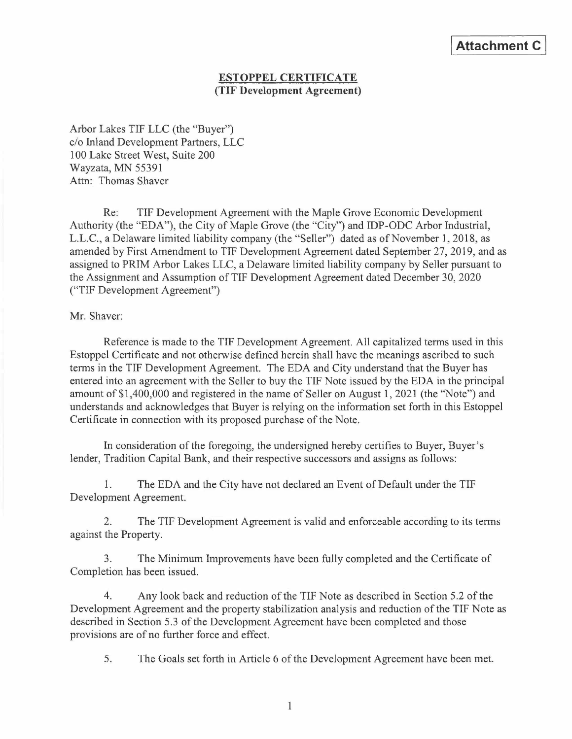# **ESTOPPEL CERTIFICATE (TIF Development Agreement)**

Arbor Lakes TIF LLC (the "Buyer") c/o Inland Development Partners, LLC 100 Lake Street West, Suite 200 Wayzata, MN 55391 Attn: Thomas Shaver

Re: TIF Development Agreement with the Maple Grove Economic Development Authority (the "EDA"), the City of Maple Grove (the "City") and IDP-ODC Arbor Industrial, L.L.C., a Delaware limited liability company (the "Seller") dated as of November I, 2018, as amended by First Amendment to TIF Development Agreement dated September 27, 2019, and as assigned to PRIM Arbor Lakes LLC, a Delaware limited liability company by Seller pursuant to the Assignment and Assumption of TIF Development Agreement dated December 30, 2020 ("TIF Development Agreement")

Mr. Shaver:

Reference is made to the TIF Development Agreement. All capitalized terms used in this Estoppel Certificate and not otherwise defined herein sha11 have the meanings ascribed to such terms in the TIF Development Agreement. The EDA and City understand that the Buyer has entered into an agreement with the Seller to buy the TIF Note issued by the EDA in the principal amount of \$1,400,000 and registered in the name of Seller on August I, 2021 (the "Note") and understands and acknowledges that Buyer is relying on the information set forth in this Estoppel Certificate in connection with its proposed purchase of the Note.

In consideration of the foregoing, the undersigned hereby certifies to Buyer, Buyer's lender, Tradition Capital Bank, and their respective successors and assigns as follows:

1. The EDA and the City have not declared an Event of Default under the TIF Development Agreement.

2. The TIF Development Agreement is valid and enforceable according to its terms against the Property.

3. The Minimum Improvements have been fully completed and the Certificate of Completion has been issued.

4. Any look back and reduction of the TIF Note as described in Section 5.2 of the Development Agreement and the property stabilization analysis and reduction of the TIF Note as described in Section 5.3 of the Development Agreement have been completed and those provisions are of no further force and effect.

5. The Goals set forth in Article 6 of the Development Agreement have been met.